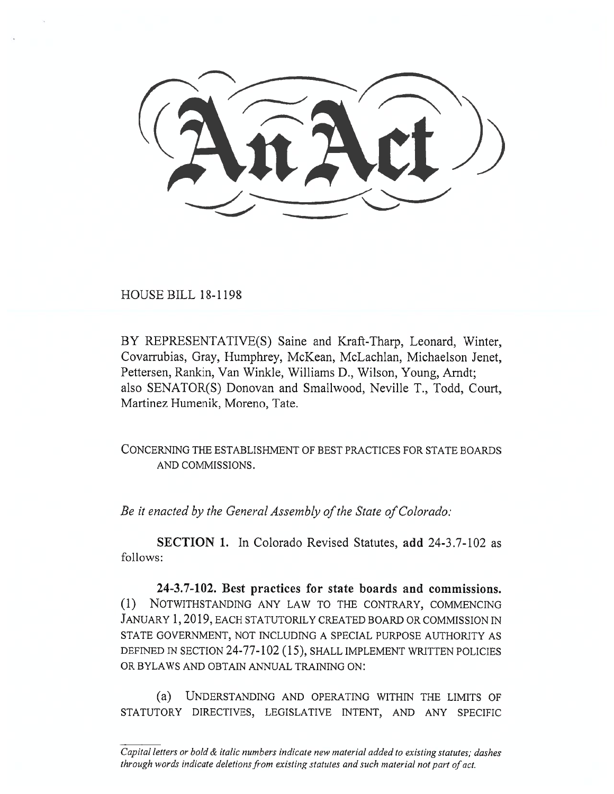HOUSE BILL 18-1198

BY REPRESENTATIVE(S) Saine and Kraft-Tharp, Leonard, Winter, Covarrubias, Gray, Humphrey, McKean, McLachlan, Michaelson Jenet, Pettersen, Rankin, Van Winkle, Williams **D.,** Wilson, Young, Arndt; also SENATOR(S) Donovan and Smallwood, Neville T., Todd, Court, Martinez Humenik, Moreno, Tate.

CONCERNING THE ESTABLISHMENT OF BEST PRACTICES FOR STATE BOARDS AND COMMISSIONS.

*Be it enacted by the General Assembly of the State of Colorado:* 

**SECTION 1.** In Colorado Revised Statutes, **add** 24-3.7-102 as follows:

**24-3.7-102. Best practices for state boards and commissions. (1)** NOTWITHSTANDING ANY LAW TO THE CONTRARY, COMMENCING JANUARY 1, 2019, EACH STATUTORILY CREATED BOARD OR COMMISSION IN STATE GOVERNMENT, NOT INCLUDING A SPECIAL PURPOSE AUTHORITY AS DEFINED IN SECTION 24-77-102 (15), SHALL IMPLEMENT WRITTEN POLICIES OR BYLAWS AND OBTAIN ANNUAL TRAINING ON:

(a) UNDERSTANDING AND OPERATING WITHIN THE LIMITS OF STATUTORY DIRECTIVES, LEGISLATIVE INTENT, AND ANY SPECIFIC

*Capital letters or bold & italic numbers indicate new material added to existing statutes; dashes through words indicate deletions from existing statutes and such material not part of act.*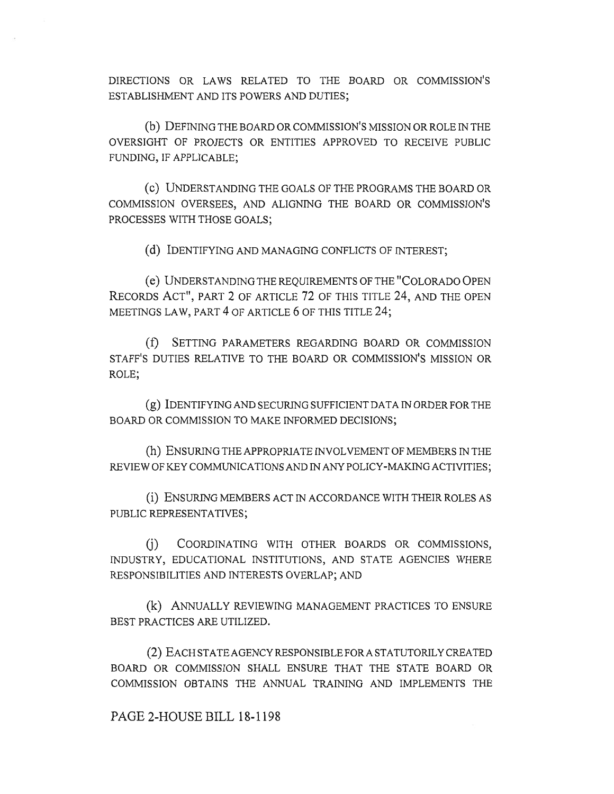DIRECTIONS OR LAWS RELATED TO THE BOARD OR COMMISSION'S ESTABLISHMENT AND ITS POWERS AND DUTIES;

(b) DEFINING THE BOARD OR COMMISSION'S MISSION OR ROLE IN THE OVERSIGHT OF PROJECTS OR ENTITIES APPROVED TO RECEIVE PUBLIC FUNDING, IF APPLICABLE;

(C) UNDERSTANDING THE GOALS OF THE PROGRAMS THE BOARD OR COMMISSION OVERSEES, AND ALIGNING THE BOARD OR COMMISSION'S PROCESSES WITH THOSE GOALS;

(d) IDENTIFYING AND MANAGING CONFLICTS OF INTEREST;

(e) UNDERSTANDING THE REQUIREMENTS OF THE "COLORADO OPEN RECORDS ACT", PART 2 OF ARTICLE 72 OF THIS TITLE 24, AND THE OPEN MEETINGS LAW, PART 4 OF ARTICLE 6 OF THIS TITLE 24;

(f) SETTING PARAMETERS REGARDING BOARD OR COMMISSION STAFF'S DUTIES RELATIVE TO THE **BOARD OR COMMISSION'S MISSION** OR ROLE;

(g) IDENTIFYING AND SECURING SUFFICIENT DATA IN ORDER FOR THE BOARD OR COMMISSION TO MAKE INFORMED DECISIONS;

(h) ENSURING THE APPROPRIATE INVOLVEMENT OF MEMBERS IN THE REVIEW OF KEY COMMUNICATIONS AND IN ANY POLICY-MAKING ACTIVITIES;

(i) ENSURING MEMBERS ACT IN ACCORDANCE WITH THEIR ROLES AS PUBLIC REPRESENTATIVES;

(j) COORDINATING WITH OTHER BOARDS OR COMMISSIONS, INDUSTRY, EDUCATIONAL INSTITUTIONS, AND STATE AGENCIES WHERE RESPONSIBILITIES AND INTERESTS OVERLAP; AND

(k) ANNUALLY REVIEWING MANAGEMENT PRACTICES TO ENSURE BEST PRACTICES ARE UTILIZED.

(2) EACH STATE AGENCY RESPONSIBLE FOR A STATUTORILY CREATED BOARD OR COMMISSION SHALL ENSURE THAT THE STATE BOARD OR COMMISSION OBTAINS THE ANNUAL TRAINING AND IMPLEMENTS THE

## PAGE 2-HOUSE BILL 18-1198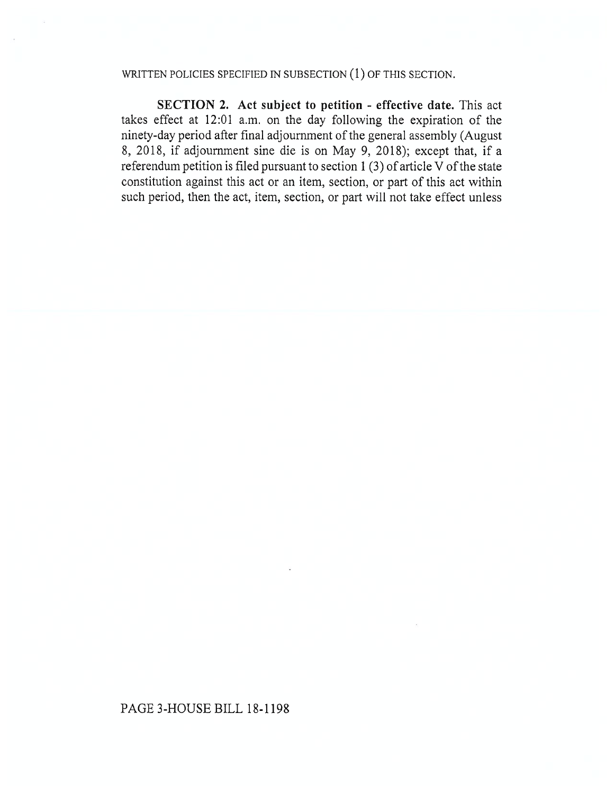## WRITTEN POLICIES SPECIFIED IN SUBSECTION (1) OF THIS SECTION.

SECTION 2. Act subject to petition - effective date. This act takes effect at 12:01 a.m. on the day following the expiration of the ninety-day period after final adjournment of the general assembly (August 8, 2018, if adjournment sine die is on May 9, 2018); except that, if a referendum petition is filed pursuant to section 1 (3) of article V of the state constitution against this act or an item, section, or part of this act within such period, then the act, item, section, or part will not take effect unless

## PAGE 3-HOUSE BILL 18-1198